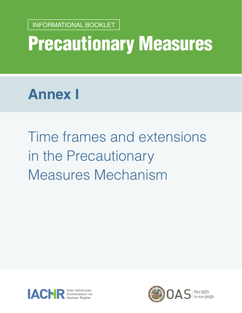Precautionary Measures INFORMATIONAL BOOKLET <sup>1</sup> INFORMATIONAL BOOKLET

# Precautionary Measures

## **Annex I**

Time frames and extensions in the Precautionary Measures Mechanism



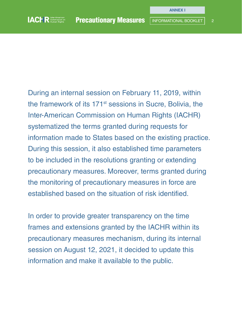During an internal session on February 11, 2019, within the framework of its 171st sessions in Sucre, Bolivia, the Inter-American Commission on Human Rights (IACHR) systematized the terms granted during requests for information made to States based on the existing practice. During this session, it also established time parameters to be included in the resolutions granting or extending precautionary measures. Moreover, terms granted during the monitoring of precautionary measures in force are established based on the situation of risk identified.

In order to provide greater transparency on the time frames and extensions granted by the IACHR within its precautionary measures mechanism, during its internal session on August 12, 2021, it decided to update this information and make it available to the public.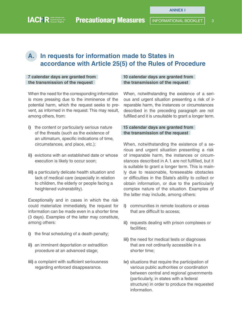## **A. In requests for information made to States in accordance with Article 25(5) of the Rules of Procedure**

#### **7 calendar days are granted from the transmission of the request**

When the need for the corresponding information is more pressing due to the imminence of the potential harm, which the request seeks to prevent, as informed in the request. This may result, among others, from:

- **i)** the content or particularly serious nature of the threats (such as the existence of an ultimatum, specific indications of time, circumstances, and place, etc.);
- **ii)** evictions with an established date or whose execution is likely to occur soon;
- **iii)** a particularly delicate health situation and lack of medical care (especially in relation to children, the elderly or people facing a heightened vulnerability).

Exceptionally and in cases in which the risk could materialize immediately, the request for information can be made even in a shorter time (3 days). Examples of the latter may constitute, among others:

- **i)** the final scheduling of a death penalty;
- **ii)** an imminent deportation or extradition procedure at an advanced stage;
- **iii)** a complaint with sufficient seriousness regarding enforced disappearance.

#### **10 calendar days are granted from the transmission of the request**

When, notwithstanding the existence of a serious and urgent situation presenting a risk of irreparable harm, the instances or circumstances described in the preceding paragraph are not fulfilled and it is unsuitable to grant a longer term.

#### **15 calendar days are granted from the transmission of the request**

When, notwithstanding the existence of a serious and urgent situation presenting a risk of irreparable harm, the instances or circumstances described in A.1. are not fulfilled, but it is suitable to grant a longer term. This is mainly due to reasonable, foreseeable obstacles or difficulties in the State's ability to collect or obtain information, or due to the particularly complex nature of the situation. Examples of the latter may include, among others:

- **i)** communities in remote locations or areas that are difficult to access;
- **ii)** requests dealing with prison complexes or facilities;
- **iii)** the need for medical tests or diagnoses that are not ordinarily accessible in a shorter time;
- **iv)** situations that require the participation of various public authorities or coordination between central and regional governments (particularly, in states with a federal structure) in order to produce the requested information.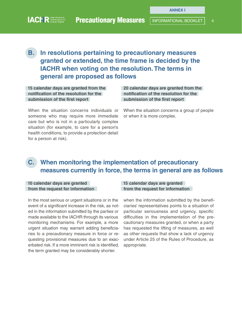## **B. In resolutions pertaining to precautionary measures granted or extended, the time frame is decided by the IACHR when voting on the resolution. The terms in general are proposed as follows**

**15 calendar days are granted from the notification of the resolution for the submission of the first report** 

**20 calendar days are granted from the notification of the resolution for the submission of the first report** 

When the situation concerns individuals or someone who may require more immediate care but who is not in a particularly complex situation (for example, to care for a person's health conditions, to provide a protection detail for a person at risk).

When the situation concerns a group of people or when it is more complex.

## **C. When monitoring the implementation of precautionary measures currently in force, the terms in general are as follows**

#### **10 calendar days are granted from the request for information**

In the most serious or urgent situations or in the event of a significant increase in the risk, as noted in the information submitted by the parties or made available to the IACHR through its various monitoring mechanisms. For example, a more urgent situation may warrant adding beneficiaries to a precautionary measure in force or requesting provisional measures due to an exacerbated risk. If a more imminent risk is identified, the term granted may be considerably shorter.

#### **15 calendar days are granted from the request for information**

when the information submitted by the beneficiaries' representatives points to a situation of particular seriousness and urgency, specific difficulties in the implementation of the precautionary measures granted, or when a party has requested the lifting of measures, as well as other requests that show a lack of urgency under Article 25 of the Rules of Procedure, as appropriate.